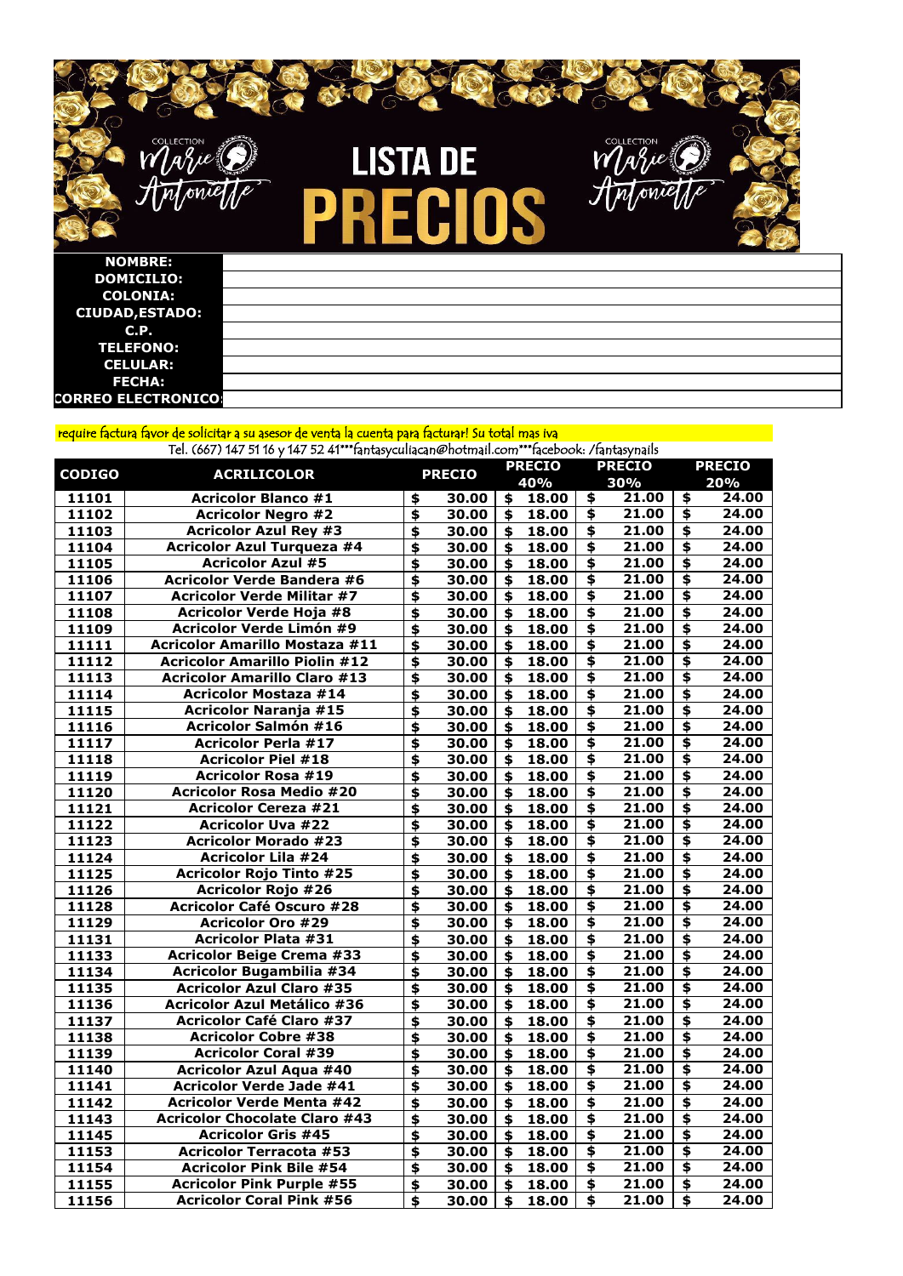

**LISTA DE** ECIOS PR

| <b>CODIGO</b> | <b>ACRILICOLOR</b>                    | <b>PRECIO</b>   |       | <b>PRECIO</b> |       | <b>PRECIO</b>                        |       | <b>PRECIO</b>                        |       |
|---------------|---------------------------------------|-----------------|-------|---------------|-------|--------------------------------------|-------|--------------------------------------|-------|
|               |                                       |                 |       |               | 40%   |                                      | 30%   |                                      | 20%   |
| 11101         | <b>Acricolor Blanco #1</b>            | \$              | 30.00 | \$            | 18.00 | \$                                   | 21.00 | \$                                   | 24.00 |
| 11102         | <b>Acricolor Negro #2</b>             | \$              | 30.00 | \$            | 18.00 | \$                                   | 21.00 | \$                                   | 24.00 |
| 11103         | <b>Acricolor Azul Rey #3</b>          | \$              | 30.00 | \$            | 18.00 | $\overline{\boldsymbol{\mathsf{s}}}$ | 21.00 | \$                                   | 24.00 |
| 11104         | <b>Acricolor Azul Turqueza #4</b>     | \$              | 30.00 | \$            | 18.00 | $\overline{\bullet}$                 | 21.00 | \$                                   | 24.00 |
| 11105         | <b>Acricolor Azul #5</b>              | \$              | 30.00 |               | 18.00 | \$                                   | 21.00 | \$                                   | 24.00 |
| 11106         | <b>Acricolor Verde Bandera #6</b>     | \$              | 30.00 | \$            | 18.00 | $\overline{\bullet}$                 | 21.00 | $\overline{\bullet}$                 | 24.00 |
| 11107         | <b>Acricolor Verde Militar #7</b>     | \$              | 30.00 | \$            | 18.00 | \$                                   | 21.00 | \$                                   | 24.00 |
| 11108         | <b>Acricolor Verde Hoja #8</b>        | \$              | 30.00 | \$            | 18.00 | \$                                   | 21.00 | $\overline{\mathbf{P}}$              | 24.00 |
| 11109         | <b>Acricolor Verde Limón #9</b>       | \$              | 30.00 | \$            | 18.00 | $\overline{\bullet}$                 | 21.00 | $\overline{\mathbf{5}}$              | 24.00 |
| 11111         | <b>Acricolor Amarillo Mostaza #11</b> | \$              | 30.00 | \$            | 18.00 | $\overline{\bullet}$                 | 21.00 | $\overline{\mathbf{5}}$              | 24.00 |
| 11112         | <b>Acricolor Amarillo Piolin #12</b>  | $\blacklozenge$ | 30.00 | \$            | 18.00 | \$                                   | 21.00 | \$                                   | 24.00 |
| 11113         | <b>Acricolor Amarillo Claro #13</b>   | \$              | 30.00 | \$            | 18.00 | \$                                   | 21.00 | \$                                   | 24.00 |
| 11114         | <b>Acricolor Mostaza #14</b>          | \$              | 30.00 | \$            | 18.00 | \$                                   | 21.00 | \$                                   | 24.00 |
| 11115         | <b>Acricolor Naranja #15</b>          | \$              | 30.00 |               | 18.00 | \$                                   | 21.00 | \$                                   | 24.00 |
| 11116         | <b>Acricolor Salmón #16</b>           | \$              | 30.00 | \$            | 18.00 | $\overline{\boldsymbol{\mathsf{s}}}$ | 21.00 | \$                                   | 24.00 |
| 11117         | <b>Acricolor Perla #17</b>            | \$              | 30.00 |               | 18.00 | $\overline{\mathbf{5}}$              | 21.00 | \$                                   | 24.00 |
| 11118         | <b>Acricolor Piel #18</b>             | \$              | 30.00 | \$            | 18.00 | \$                                   | 21.00 | \$                                   | 24.00 |
| 11119         | <b>Acricolor Rosa #19</b>             | \$              | 30.00 | \$            | 18.00 | \$                                   | 21.00 | \$                                   | 24.00 |
| 11120         | <b>Acricolor Rosa Medio #20</b>       | \$              | 30.00 | \$            | 18.00 | $\overline{\bullet}$                 | 21.00 | $\overline{\mathbf{P}}$              | 24.00 |
| 11121         | <b>Acricolor Cereza #21</b>           | \$              | 30.00 | \$            | 18.00 | \$                                   | 21.00 | \$                                   | 24.00 |
| 11122         | <b>Acricolor Uva #22</b>              | \$              | 30.00 | \$            | 18.00 | $\overline{\boldsymbol{\mathsf{S}}}$ | 21.00 | $\overline{\boldsymbol{\mathsf{S}}}$ | 24.00 |
| 11123         | <b>Acricolor Morado #23</b>           | \$              | 30.00 | \$            | 18.00 | \$                                   | 21.00 | $\overline{\mathbf{A}}$              | 24.00 |
| 11124         | <b>Acricolor Lila #24</b>             | \$              | 30.00 | \$            | 18.00 | \$                                   | 21.00 | \$                                   | 24.00 |
| 11125         | <b>Acricolor Rojo Tinto #25</b>       | \$              | 30.00 | \$            | 18.00 | $\overline{\bullet}$                 | 21.00 | \$                                   | 24.00 |
| 11126         | <b>Acricolor Rojo #26</b>             | \$              | 30.00 | \$            | 18.00 | \$                                   | 21.00 | \$                                   | 24.00 |
| 11128         | <b>Acricolor Café Oscuro #28</b>      | \$              | 30.00 | \$            | 18.00 | \$                                   | 21.00 | \$                                   | 24.00 |
| 11129         | <b>Acricolor Oro #29</b>              | \$              | 30.00 |               | 18.00 | \$                                   | 21.00 | \$                                   | 24.00 |
| 11131         | <b>Acricolor Plata #31</b>            | \$              | 30.00 | \$            | 18.00 | $\blacklozenge$                      | 21.00 | $\blacklozenge$                      | 24.00 |
| 11133         | <b>Acricolor Beige Crema #33</b>      | \$              | 30.00 | \$            | 18.00 | \$                                   | 21.00 | \$                                   | 24.00 |
| 11134         | <b>Acricolor Bugambilia #34</b>       | \$              | 30.00 | \$            | 18.00 | \$                                   | 21.00 | \$                                   | 24.00 |
| 11135         | <b>Acricolor Azul Claro #35</b>       | \$              | 30.00 | \$            | 18.00 | \$                                   | 21.00 | \$                                   | 24.00 |
| 11136         | <b>Acricolor Azul Metálico #36</b>    | \$              | 30.00 |               | 18.00 | \$                                   | 21.00 | \$                                   | 24.00 |
| 11137         | <b>Acricolor Café Claro #37</b>       | \$              | 30.00 | \$            | 18.00 | \$                                   | 21.00 | \$                                   | 24.00 |
| 11138         | <b>Acricolor Cobre #38</b>            | \$              | 30.00 | \$            | 18.00 | $\overline{\mathbf{S}}$              | 21.00 | $\overline{\boldsymbol{\mathsf{s}}}$ | 24.00 |
| 11139         | <b>Acricolor Coral #39</b>            | \$              | 30.00 | \$            | 18.00 | \$                                   | 21.00 | \$                                   | 24.00 |
| 11140         | <b>Acricolor Azul Aqua #40</b>        | \$              | 30.00 |               | 18.00 | \$                                   | 21.00 | \$                                   | 24.00 |
| 11141         | <b>Acricolor Verde Jade #41</b>       | \$              | 30.00 | \$            | 18.00 | \$                                   | 21.00 | \$                                   | 24.00 |
| 11142         | <b>Acricolor Verde Menta #42</b>      | \$              | 30.00 |               | 18.00 | \$                                   | 21.00 | \$                                   | 24.00 |
| 11143         | <b>Acricolor Chocolate Claro #43</b>  | \$              | 30.00 | \$            | 18.00 | \$                                   | 21.00 | \$                                   | 24.00 |
| 11145         | <b>Acricolor Gris #45</b>             | \$              | 30.00 |               | 18.00 | $\overline{\bullet}$                 | 21.00 | $\overline{\mathbf{S}}$              | 24.00 |
| 11153         | <b>Acricolor Terracota #53</b>        | \$              | 30.00 | \$            | 18.00 | \$                                   | 21.00 | $\overline{\bullet}$                 | 24.00 |
| 11154         | <b>Acricolor Pink Bile #54</b>        | \$              | 30.00 |               | 18.00 | \$                                   | 21.00 | \$                                   | 24.00 |
| 11155         | <b>Acricolor Pink Purple #55</b>      | \$              | 30.00 | \$            | 18.00 | \$                                   | 21.00 | $\overline{\bullet}$                 | 24.00 |
| 11156         | <b>Acricolor Coral Pink #56</b>       | \$              | 30.00 | \$            | 18.00 | \$                                   | 21.00 | \$                                   | 24.00 |

Tel. (667) 147 51 16 y 147 52 41\*\*\*fantasyculiacan@hotmail.com\*\*\*facebook: /fantasynails

| <b>NOMBRE:</b>             |  |
|----------------------------|--|
| <b>DOMICILIO:</b>          |  |
| <b>COLONIA:</b>            |  |
| <b>CIUDAD, ESTADO:</b>     |  |
| C.P.                       |  |
| <b>TELEFONO:</b>           |  |
| <b>CELULAR:</b>            |  |
| <b>FECHA:</b>              |  |
| <b>CORREO ELECTRONICO:</b> |  |

## require factura favor de solicitar a su asesor de venta la cuenta para facturar! Su total mas iva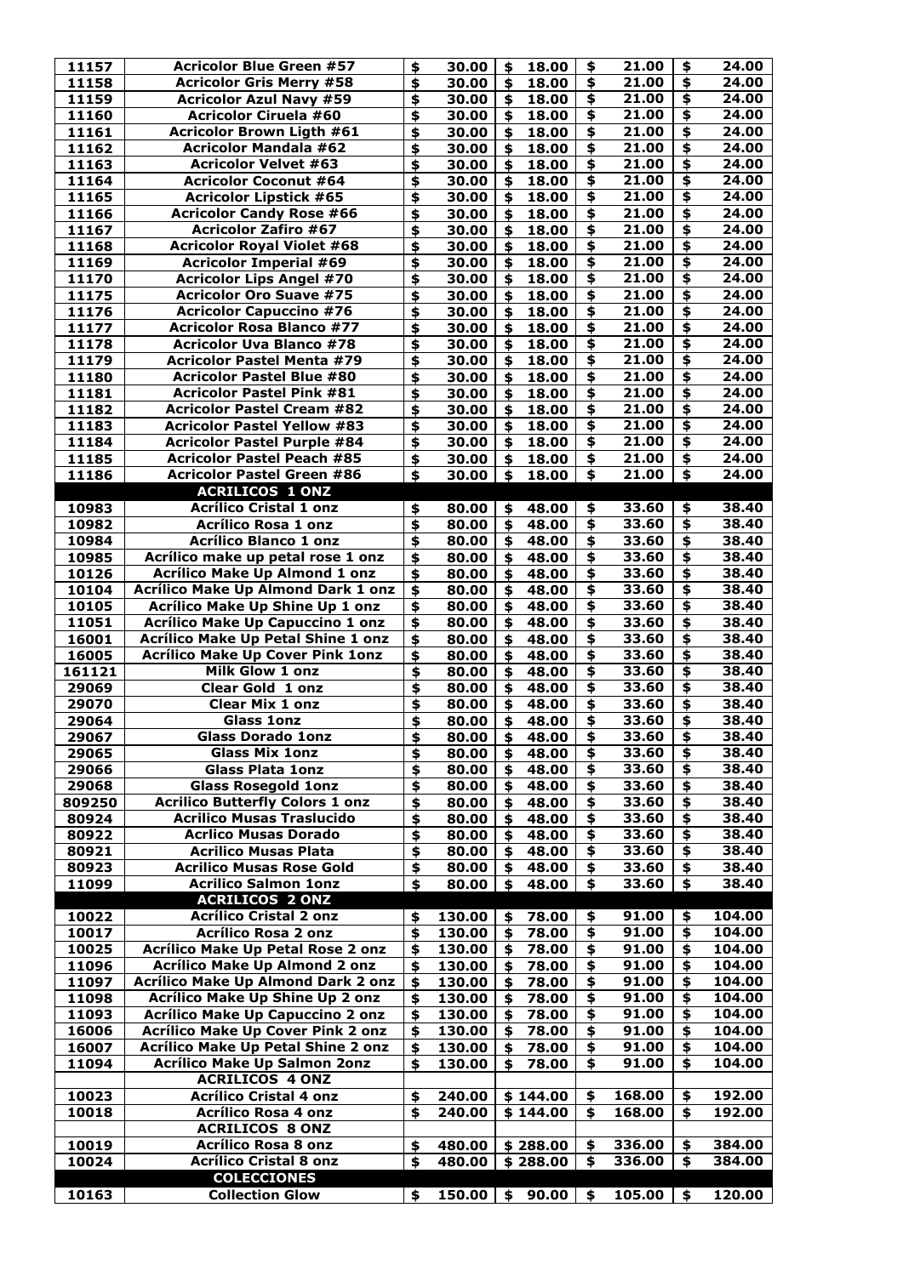| 11157  | <b>Acricolor Blue Green #57</b>           | $\clubsuit$ | 30.00               | \$                        | 18.00    | \$                                   | 21.00  | \$                                   | 24.00  |
|--------|-------------------------------------------|-------------|---------------------|---------------------------|----------|--------------------------------------|--------|--------------------------------------|--------|
| 11158  | <b>Acricolor Gris Merry #58</b>           | \$          | 30.00               | $\boldsymbol{\mathsf{s}}$ | 18.00    | $\overline{\bullet}$                 | 21.00  | $\overline{\bullet}$                 | 24.00  |
| 11159  | <b>Acricolor Azul Navy #59</b>            | \$          | 30.00               | \$                        | 18.00    | \$                                   | 21.00  | \$                                   | 24.00  |
| 11160  | <b>Acricolor Ciruela #60</b>              | \$          | 30.00               | \$                        | 18.00    | $\overline{\mathbf{t}}$              | 21.00  | $\overline{\mathbf{t}}$              | 24.00  |
| 11161  | <b>Acricolor Brown Ligth #61</b>          | \$          | 30.00               | \$                        | 18.00    | \$                                   | 21.00  | \$                                   | 24.00  |
| 11162  | <b>Acricolor Mandala #62</b>              | \$          | 30.00               | \$                        | 18.00    | \$                                   | 21.00  | $\overline{\bullet}$                 | 24.00  |
| 11163  | <b>Acricolor Velvet #63</b>               |             |                     | $\boldsymbol{\mathsf{s}}$ |          | \$                                   | 21.00  | $\overline{\boldsymbol{\mathsf{F}}}$ | 24.00  |
|        |                                           | \$          | 30.00               |                           | 18.00    |                                      |        |                                      |        |
| 11164  | <b>Acricolor Coconut #64</b>              | \$          | 30.00               | \$                        | 18.00    | \$                                   | 21.00  | $\overline{\mathbf{5}}$              | 24.00  |
| 11165  | <b>Acricolor Lipstick #65</b>             | \$          | 30.00               | \$                        | 18.00    | $\overline{\mathbf{5}}$              | 21.00  | \$                                   | 24.00  |
| 11166  | <b>Acricolor Candy Rose #66</b>           | \$          | 30.00               | \$                        | 18.00    | \$                                   | 21.00  | $\overline{\mathbf{5}}$              | 24.00  |
| 11167  | <b>Acricolor Zafiro #67</b>               | \$          | 30.00               | $\boldsymbol{\mathsf{s}}$ | 18.00    | $\overline{\mathbf{r}}$              | 21.00  | \$                                   | 24.00  |
| 11168  | <b>Acricolor Royal Violet #68</b>         | \$          | 30.00               | \$                        | 18.00    | \$                                   | 21.00  | $\overline{\bullet}$                 | 24.00  |
| 11169  | <b>Acricolor Imperial #69</b>             | \$          | 30.00               | \$                        | 18.00    | \$                                   | 21.00  | \$                                   | 24.00  |
| 11170  | <b>Acricolor Lips Angel #70</b>           | \$          | 30.00               |                           | 18.00    | \$                                   | 21.00  | \$                                   | 24.00  |
| 11175  | <b>Acricolor Oro Suave #75</b>            | \$          | 30.00               | $\boldsymbol{\mathsf{s}}$ | 18.00    | $\overline{\mathbf{r}}$              | 21.00  | $\overline{\mathbf{P}}$              | 24.00  |
| 11176  | <b>Acricolor Capuccino #76</b>            | \$          | 30.00               | \$                        | 18.00    | \$                                   | 21.00  | \$                                   | 24.00  |
| 11177  | <b>Acricolor Rosa Blanco #77</b>          | \$          | 30.00               | $\boldsymbol{\mathsf{s}}$ | 18.00    | $\overline{\bullet}$                 | 21.00  | $\overline{\bullet}$                 | 24.00  |
|        |                                           |             |                     |                           |          |                                      |        |                                      |        |
| 11178  | <b>Acricolor Uva Blanco #78</b>           | \$          | 30.00               | \$                        | 18.00    | \$                                   | 21.00  | \$                                   | 24.00  |
| 11179  | <b>Acricolor Pastel Menta #79</b>         | \$          | 30.00               | \$                        | 18.00    | \$                                   | 21.00  | \$                                   | 24.00  |
| 11180  | <b>Acricolor Pastel Blue #80</b>          | \$          | 30.00               | $\boldsymbol{\mathsf{s}}$ | 18.00    | $\overline{\mathbf{5}}$              | 21.00  | $\overline{\mathbf{A}}$              | 24.00  |
| 11181  | <b>Acricolor Pastel Pink #81</b>          | \$          | 30.00               | $\boldsymbol{\mathsf{s}}$ | 18.00    | \$                                   | 21.00  | $\overline{\mathbf{5}}$              | 24.00  |
| 11182  | <b>Acricolor Pastel Cream #82</b>         | \$          | 30.00               | $\boldsymbol{\mathsf{s}}$ | 18.00    | $\overline{\mathbf{5}}$              | 21.00  | $\overline{\bullet}$                 | 24.00  |
| 11183  | <b>Acricolor Pastel Yellow #83</b>        | \$          | 30.00               | \$                        | 18.00    | \$                                   | 21.00  | $\overline{\mathbf{5}}$              | 24.00  |
| 11184  | <b>Acricolor Pastel Purple #84</b>        | \$          | 30.00               | $\boldsymbol{\mathsf{s}}$ | 18.00    | $\overline{\bullet}$                 | 21.00  | $\overline{\bullet}$                 | 24.00  |
| 11185  | <b>Acricolor Pastel Peach #85</b>         | \$          | 30.00               |                           | 18.00    | \$                                   | 21.00  | \$                                   | 24.00  |
| 11186  | <b>Acricolor Pastel Green #86</b>         | \$          | 30.00               | \$                        | 18.00    | $\overline{\boldsymbol{\mathsf{s}}}$ | 21.00  | $\overline{\bullet}$                 | 24.00  |
|        |                                           |             |                     |                           |          |                                      |        |                                      |        |
|        | <b>ACRILICOS 1 ONZ</b>                    |             |                     |                           |          |                                      |        |                                      |        |
| 10983  | <b>Acrílico Cristal 1 onz</b>             | \$          | 80.00               | \$                        | 48.00    | \$                                   | 33.60  | \$                                   | 38.40  |
| 10982  | <b>Acrílico Rosa 1 onz</b>                | \$          | 80.00               | $\boldsymbol{\mathsf{s}}$ | 48.00    | $\overline{\mathbf{5}}$              | 33.60  | $\overline{\mathbf{F}}$              | 38.40  |
| 10984  | <b>Acrílico Blanco 1 onz</b>              | \$          | 80.00               | \$                        | 48.00    | \$                                   | 33.60  | \$                                   | 38.40  |
| 10985  | Acrílico make up petal rose 1 onz         | \$          | 80.00               | \$                        | 48.00    | \$                                   | 33.60  | \$                                   | 38.40  |
| 10126  | <b>Acrílico Make Up Almond 1 onz</b>      | \$          | 80.00               | \$                        | 48.00    | \$                                   | 33.60  | \$                                   | 38.40  |
| 10104  | <b>Acrílico Make Up Almond Dark 1 onz</b> | \$          | 80.00               | \$                        | 48.00    | \$                                   | 33.60  | \$                                   | 38.40  |
| 10105  | <b>Acrílico Make Up Shine Up 1 onz</b>    | \$          | 80.00               |                           | 48.00    | \$                                   | 33.60  | \$                                   | 38.40  |
| 11051  | <b>Acrílico Make Up Capuccino 1 onz</b>   | \$          | 80.00               | \$                        | 48.00    | $\overline{\mathbf{r}}$              | 33.60  | \$                                   | 38.40  |
| 16001  | <b>Acrílico Make Up Petal Shine 1 onz</b> | \$          | 80.00               |                           | 48.00    | \$                                   | 33.60  | \$                                   | 38.40  |
| 16005  | <b>Acrílico Make Up Cover Pink 1onz</b>   | \$          | 80.00               | \$                        | 48.00    | \$                                   | 33.60  | \$                                   | 38.40  |
| 161121 | Milk Glow 1 onz                           | \$          | 80.00               | \$                        | 48.00    | \$                                   | 33.60  | \$                                   | 38.40  |
|        |                                           |             |                     |                           |          |                                      |        |                                      |        |
| 29069  | <b>Clear Gold 1 onz</b>                   | \$          | 80.00               | $\boldsymbol{\mathsf{s}}$ | 48.00    | \$                                   | 33.60  | \$                                   | 38.40  |
| 29070  | <b>Clear Mix 1 onz</b>                    | \$          | 80.00               | \$                        | 48.00    | \$                                   | 33.60  | \$                                   | 38.40  |
| 29064  | <b>Glass 1onz</b>                         | \$          | 80.00               | \$                        | 48.00    | \$                                   | 33.60  | \$                                   | 38.40  |
| 29067  | <b>Glass Dorado 1onz</b>                  | \$          | 80.00               | \$                        | 48.00    | $\overline{\mathbf{5}}$              | 33.60  | \$                                   | 38.40  |
| 29065  | <b>Glass Mix 1onz</b>                     | \$          | 80.00               | \$                        | 48.00    | \$                                   | 33.60  | \$                                   | 38.40  |
| 29066  | <b>Glass Plata 1onz</b>                   | \$          | 80.00               | \$                        | 48.00    | $\overline{\mathbf{r}}$              | 33.60  | \$                                   | 38.40  |
| 29068  | <b>Glass Rosegold 1onz</b>                | \$          | 80.00               | \$                        | 48.00    | \$                                   | 33.60  | \$                                   | 38.40  |
| 809250 | <b>Acrilico Butterfly Colors 1 onz</b>    | \$          | 80.00               | \$                        | 48.00    | $\overline{\bullet}$                 | 33.60  | \$                                   | 38.40  |
| 80924  | <b>Acrilico Musas Traslucido</b>          | \$          | 80.00               |                           | 48.00    | \$                                   | 33.60  | \$                                   | 38.40  |
| 80922  | <b>Acrlico Musas Dorado</b>               | \$          | 80.00               | $\boldsymbol{\mathsf{s}}$ | 48.00    | $\overline{\boldsymbol{\mathsf{s}}}$ | 33.60  | $\overline{\bullet}$                 | 38.40  |
| 80921  | <b>Acrilico Musas Plata</b>               | \$          | 80.00               |                           | 48.00    | \$                                   | 33.60  | \$                                   | 38.40  |
| 80923  | <b>Acrilico Musas Rose Gold</b>           |             | 80.00               | \$                        | 48.00    | \$                                   | 33.60  | \$                                   | 38.40  |
|        |                                           | \$          |                     |                           |          |                                      |        |                                      |        |
| 11099  | <b>Acrilico Salmon 1onz</b>               | \$          | 80.00               | \$                        | 48.00    | \$                                   | 33.60  | \$                                   | 38.40  |
|        | <b>ACRILICOS 2 ONZ</b>                    |             |                     |                           |          |                                      |        |                                      |        |
| 10022  | <b>Acrílico Cristal 2 onz</b>             | \$          | 130.00              | \$                        | 78.00    | \$                                   | 91.00  | \$                                   | 104.00 |
| 10017  | <b>Acrílico Rosa 2 onz</b>                | \$          | 130.00              | \$                        | 78.00    | \$                                   | 91.00  | \$                                   | 104.00 |
| 10025  | <b>Acrílico Make Up Petal Rose 2 onz</b>  | \$          | 130.00              | \$                        | 78.00    | \$                                   | 91.00  | \$                                   | 104.00 |
| 11096  | <b>Acrílico Make Up Almond 2 onz</b>      | \$          | 130.00              | \$                        | 78.00    | \$                                   | 91.00  | \$                                   | 104.00 |
| 11097  | <b>Acrílico Make Up Almond Dark 2 onz</b> | \$          | 130.00              | \$                        | 78.00    | $\overline{\bullet}$                 | 91.00  | \$                                   | 104.00 |
| 11098  | <b>Acrílico Make Up Shine Up 2 onz</b>    | \$          | 130.00              | \$                        | 78.00    | \$                                   | 91.00  | \$                                   | 104.00 |
| 11093  | <b>Acrílico Make Up Capuccino 2 onz</b>   | \$          | 130.00              | \$                        | 78.00    | \$                                   | 91.00  | \$                                   | 104.00 |
| 16006  | <b>Acrílico Make Up Cover Pink 2 onz</b>  | \$          | 130.00              | \$                        | 78.00    | \$                                   | 91.00  | \$                                   | 104.00 |
| 16007  | <b>Acrílico Make Up Petal Shine 2 onz</b> | \$          | 130.00              | \$                        | 78.00    | \$                                   | 91.00  | \$                                   | 104.00 |
| 11094  | <b>Acrílico Make Up Salmon 2onz</b>       |             | 130.00              | \$                        | 78.00    | \$                                   | 91.00  | \$                                   | 104.00 |
|        |                                           | \$          |                     |                           |          |                                      |        |                                      |        |
|        | <b>ACRILICOS 4 ONZ</b>                    |             |                     |                           |          |                                      |        |                                      |        |
| 10023  | <b>Acrílico Cristal 4 onz</b>             | \$          | 240.00              |                           | \$144.00 | \$                                   | 168.00 | \$                                   | 192.00 |
| 10018  | <b>Acrílico Rosa 4 onz</b>                | \$          | 240.00              |                           | \$144.00 | \$                                   | 168.00 | \$                                   | 192.00 |
|        | <b>ACRILICOS 8 ONZ</b>                    |             |                     |                           |          |                                      |        |                                      |        |
| 10019  | <b>Acrílico Rosa 8 onz</b>                | \$          | 480.00              |                           | \$288.00 | \$                                   | 336.00 | \$                                   | 384.00 |
| 10024  | <b>Acrílico Cristal 8 onz</b>             | \$          | 480.00              |                           | \$288.00 | \$                                   | 336.00 | \$                                   | 384.00 |
|        | <b>COLECCIONES</b>                        |             |                     |                           |          |                                      |        |                                      |        |
| 10163  | <b>Collection Glow</b>                    | \$          | $150.00$   \$ 90.00 |                           |          | \$                                   | 105.00 | $\frac{1}{2}$                        | 120.00 |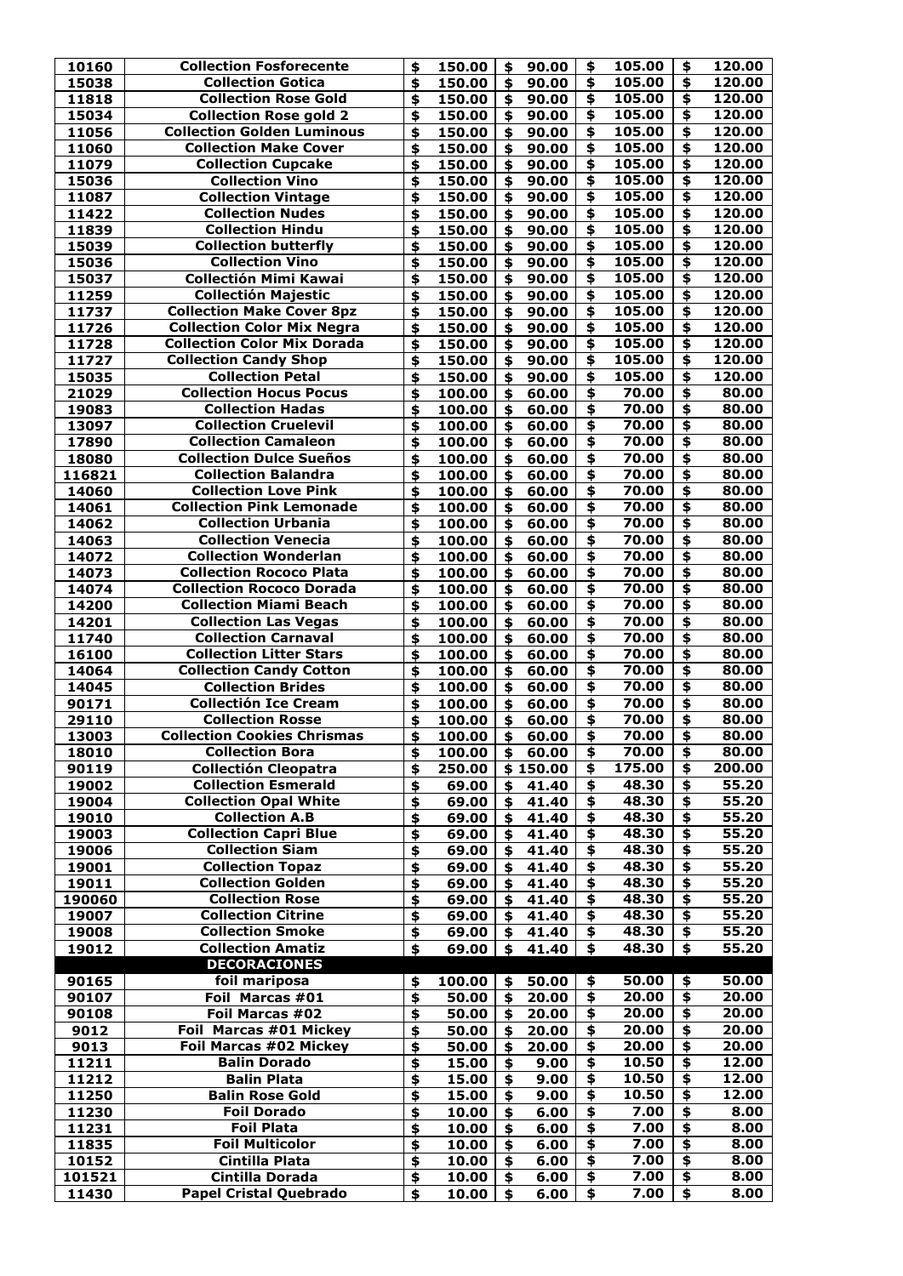| 10160<br>15038  |                                                         |          |                |                           |                  |                                      |              |                           |              |
|-----------------|---------------------------------------------------------|----------|----------------|---------------------------|------------------|--------------------------------------|--------------|---------------------------|--------------|
|                 | <b>Collection Fosforecente</b>                          | \$       | 150.00         | \$                        | 90.00            | \$                                   | 105.00       | \$                        | 120.00       |
|                 | <b>Collection Gotica</b>                                | \$       | 150.00         | $\blacklozenge$           | 90.00            | $\blacklozenge$                      | 105.00       | $\boldsymbol{\mathsf{s}}$ | 120.00       |
| 11818           | <b>Collection Rose Gold</b>                             | \$       | 150.00         | $\blacklozenge$           | 90.00            | $\clubsuit$                          | 105.00       | \$                        | 120.00       |
| 15034           | <b>Collection Rose gold 2</b>                           | \$       | 150.00         | $\blacklozenge$           | 90.00            | $\overline{\mathbf{t}}$              | 105.00       | \$                        | 120.00       |
| 11056           | <b>Collection Golden Luminous</b>                       | \$       | 150.00         | $\blacklozenge$           | 90.00            | $\clubsuit$                          | 105.00       | \$                        | 120.00       |
| 11060           | <b>Collection Make Cover</b>                            | \$       | 150.00         | $\blacklozenge$           | 90.00            | $\blacklozenge$                      | 105.00       | \$                        | 120.00       |
| 11079           | <b>Collection Cupcake</b>                               | \$       | 150.00         | $\blacklozenge$           | 90.00            | \$                                   | 105.00       | \$                        | 120.00       |
| 15036           | <b>Collection Vino</b>                                  | \$       | 150.00         | \$                        | 90.00            | $\overline{\bullet}$                 | 105.00       | \$                        | 120.00       |
| 11087           | <b>Collection Vintage</b>                               | \$       | 150.00         | \$                        | 90.00            | $\overline{\bullet}$                 | 105.00       | \$                        | 120.00       |
| 11422           | <b>Collection Nudes</b>                                 | \$       | 150.00         | $\overline{\bullet}$      | 90.00            | $\overline{\boldsymbol{\mathsf{s}}}$ | 105.00       | $\overline{\bullet}$      | 120.00       |
| 11839           | <b>Collection Hindu</b>                                 | \$       | 150.00         | $\blacklozenge$           | 90.00            | $\overline{\bullet}$                 | 105.00       | \$                        | 120.00       |
| 15039           | <b>Collection butterfly</b>                             | \$       | 150.00         | \$                        | 90.00            | $\overline{\boldsymbol{\mathsf{s}}}$ | 105.00       | $\boldsymbol{\mathsf{S}}$ | 120.00       |
| 15036           | <b>Collection Vino</b>                                  | \$       | 150.00         | $\boldsymbol{\mathsf{s}}$ | 90.00            | $\clubsuit$                          | 105.00       | \$                        | 120.00       |
| 15037           | <b>Collectión Mimi Kawai</b>                            | \$       | 150.00         | $\clubsuit$               | 90.00            | $\clubsuit$                          | 105.00       | \$                        | 120.00       |
| 11259           | <b>Collectión Majestic</b>                              | \$       | 150.00         | $\blacklozenge$           | 90.00            | $\clubsuit$                          | 105.00       | \$                        | 120.00       |
| 11737           | <b>Collection Make Cover 8pz</b>                        | \$       | 150.00         | $\blacklozenge$           | 90.00            | $\clubsuit$                          | 105.00       | \$                        | 120.00       |
| 11726           | <b>Collection Color Mix Negra</b>                       | \$       | 150.00         | $\mathbf{\hat{S}}$        | 90.00            | $\blacklozenge$                      | 105.00       | $\blacklozenge$           | 120.00       |
| 11728           | <b>Collection Color Mix Dorada</b>                      | \$       | 150.00         | $\clubsuit$               | 90.00            | \$                                   | 105.00       | \$                        | 120.00       |
| 11727           | <b>Collection Candy Shop</b>                            | \$       | 150.00         | $\blacklozenge$           | 90.00            | $\blacklozenge$                      | 105.00       | $\boldsymbol{\hat{z}}$    | 120.00       |
| 15035           | <b>Collection Petal</b>                                 | \$       | 150.00         | \$                        | 90.00            | \$                                   | 105.00       | \$                        | 120.00       |
| 21029           | <b>Collection Hocus Pocus</b>                           | \$       | 100.00         | $\blacklozenge$           | 60.00            | $\overline{\bullet}$                 | 70.00        | $\overline{\bullet}$      | 80.00        |
| 19083           | <b>Collection Hadas</b>                                 | \$       | 100.00         | $\blacklozenge$           | 60.00            | $\blacklozenge$                      | 70.00        | \$                        | 80.00        |
| 13097           | <b>Collection Cruelevil</b>                             | \$       | 100.00         | $\overline{\bullet}$      | 60.00            | $\overline{\boldsymbol{\mathsf{s}}}$ | 70.00        | $\overline{\mathbf{S}}$   | 80.00        |
| 17890           | <b>Collection Camaleon</b>                              | \$       | 100.00         | $\blacklozenge$           | 60.00            | $\overline{\boldsymbol{\mathsf{s}}}$ | 70.00        | \$                        | 80.00        |
| 18080           | <b>Collection Dulce Sueños</b>                          | \$       | 100.00         | \$                        | 60.00            | $\overline{\bullet}$                 | 70.00        | \$                        | 80.00        |
| 116821          | <b>Collection Balandra</b>                              | \$       | 100.00         | $\blacklozenge$           | 60.00            | $\overline{\bullet}$                 | 70.00        | $\blacklozenge$           | 80.00        |
| 14060           | <b>Collection Love Pink</b>                             | \$       | 100.00         | $\blacklozenge$           | 60.00            | $\overline{\bullet}$                 | 70.00        | \$                        | 80.00        |
| 14061           | <b>Collection Pink Lemonade</b>                         | \$       | 100.00         | $\blacklozenge$           | 60.00            | $\clubsuit$                          | 70.00        | \$                        | 80.00        |
| 14062           | <b>Collection Urbania</b>                               | \$       | 100.00         | $\boldsymbol{\mathsf{s}}$ | 60.00            | $\overline{\bullet}$                 | 70.00        | \$                        | 80.00        |
| 14063           | <b>Collection Venecia</b>                               | \$       | 100.00         | \$                        | 60.00            | $\clubsuit$                          | 70.00        | $\mathbf{\hat{z}}$        | 80.00        |
| 14072           | <b>Collection Wonderlan</b>                             | \$       | 100.00         | \$                        | 60.00            | \$                                   | 70.00        | \$                        | 80.00        |
| 14073           | <b>Collection Rococo Plata</b>                          | \$       | 100.00         | $\blacklozenge$           | 60.00            | $\clubsuit$                          | 70.00        | $\boldsymbol{\hat{z}}$    | 80.00        |
| 14074           | <b>Collection Rococo Dorada</b>                         | \$       | 100.00         | $\blacklozenge$           | 60.00            | $\clubsuit$                          | 70.00        | \$                        | 80.00        |
| 14200           | <b>Collection Miami Beach</b>                           | \$       | 100.00         | $\blacklozenge$           | 60.00            | $\blacklozenge$                      | 70.00        | \$                        | 80.00        |
| 14201           | <b>Collection Las Vegas</b>                             | \$       | 100.00         | $\boldsymbol{\mathsf{s}}$ | 60.00            | $\overline{\bullet}$                 | 70.00        | $\blacklozenge$           | 80.00        |
| 11740           | <b>Collection Carnaval</b>                              | \$       | 100.00         | $\boldsymbol{\mathsf{s}}$ | 60.00            | $\overline{\mathbf{S}}$              | 70.00        | $\blacklozenge$           | 80.00        |
| 16100           | <b>Collection Litter Stars</b>                          | \$       | 100.00         | \$                        | 60.00            | $\overline{\bullet}$                 | 70.00        | \$                        | 80.00        |
| 14064           | <b>Collection Candy Cotton</b>                          | \$       | 100.00         | $\clubsuit$               | 60.00            | $\blacklozenge$                      | 70.00        | \$                        | 80.00        |
| 14045           | <b>Collection Brides</b>                                | \$       | 100.00         | $\blacklozenge$           | 60.00            | $\blacklozenge$                      | 70.00        | \$                        | 80.00        |
|                 | <b>Collectión Ice Cream</b>                             | \$       | 100.00         | $\blacklozenge$           | 60.00            | $\blacklozenge$                      | 70.00        | \$                        | 80.00        |
|                 |                                                         |          |                | $\blacklozenge$           |                  | $\clubsuit$                          |              |                           | 80.00        |
| 90171           |                                                         |          |                |                           |                  |                                      |              |                           |              |
| 29110           | <b>Collection Rosse</b>                                 | \$       | 100.00         |                           | 60.00            |                                      | 70.00        | \$                        |              |
| 13003           | <b>Collection Cookies Chrismas</b>                      | \$       | 100.00         | $\blacklozenge$           | 60.00            | \$                                   | 70.00        | $\blacklozenge$           | 80.00        |
| 18010           | <b>Collection Bora</b>                                  | \$       | 100.00         | $\blacklozenge$           | 60.00            | $\overline{\bullet}$                 | 70.00        | $\boldsymbol{\hat{z}}$    | 80.00        |
| 90119           | <b>Collectión Cleopatra</b>                             | \$       | 250.00         |                           | \$150.00         | \$                                   | 175.00       | \$                        | 200.00       |
| 19002           | <b>Collection Esmerald</b>                              | \$       | 69.00          | \$                        | 41.40            | $\clubsuit$                          | 48.30        | $\boldsymbol{\hat{z}}$    | 55.20        |
| 19004           | <b>Collection Opal White</b>                            | \$       | 69.00          | $\boldsymbol{\mathsf{s}}$ | 41.40            | \$                                   | 48.30        | \$                        | 55.20        |
| 19010           | <b>Collection A.B</b>                                   | \$       | 69.00          | $\boldsymbol{\mathsf{s}}$ | 41.40            | $\blacklozenge$                      | 48.30        | $\clubsuit$               | 55.20        |
| 19003           | <b>Collection Capri Blue</b>                            | \$       | 69.00          | $\blacklozenge$           | 41.40            | $\clubsuit$                          | 48.30        | $\boldsymbol{\mathsf{S}}$ | 55.20        |
| 19006           | <b>Collection Siam</b>                                  | \$       | 69.00          | $\boldsymbol{\mathsf{s}}$ | 41.40            | $\overline{\bullet}$                 | 48.30        | $\blacklozenge$           | 55.20        |
| 19001           | <b>Collection Topaz</b>                                 | \$       | 69.00          | \$                        | 41.40            | $\blacklozenge$                      | 48.30        | \$                        | 55.20        |
| 19011           | <b>Collection Golden</b>                                | \$       | 69.00          | $\boldsymbol{\mathsf{s}}$ | 41.40            | $\blacklozenge$                      | 48.30        | \$                        | 55.20        |
| 190060          | <b>Collection Rose</b>                                  | \$       | 69.00          | \$                        | 41.40            | $\blacklozenge$                      | 48.30        | $\boldsymbol{\mathsf{s}}$ | 55.20        |
| 19007           | <b>Collection Citrine</b>                               | \$       | 69.00          | \$                        | 41.40            | $\clubsuit$                          | 48.30        | \$                        | 55.20        |
| 19008           | <b>Collection Smoke</b>                                 | \$       | 69.00          | $\mathbf{\hat{S}}$        | 41.40            | $\overline{\bullet}$                 | 48.30        | \$                        | 55.20        |
| 19012           | <b>Collection Amatiz</b>                                | \$       | 69.00          | \$                        | 41.40            | \$                                   | 48.30        | \$                        | 55.20        |
|                 | <b>DECORACIONES</b>                                     |          |                |                           |                  |                                      |              |                           |              |
| 90165           | foil mariposa                                           | \$       | 100.00         | \$                        | 50.00            | \$                                   | 50.00        | \$                        | 50.00        |
| 90107           | Foil Marcas #01                                         | \$       | 50.00          | $\blacklozenge$           | 20.00            | $\blacklozenge$                      | 20.00        | $\boldsymbol{\mathsf{s}}$ | 20.00        |
| 90108           | Foil Marcas #02                                         | \$       |                |                           | 50.00   \$ 20.00 | $\frac{1}{2}$                        | 20.00        | $\mathbf{\hat{S}}$        | 20.00        |
| 9012            | Foil Marcas #01 Mickey                                  | \$       | 50.00          | \$                        | 20.00            | \$                                   | 20.00        | $\clubsuit$               | 20.00        |
| 9013            | <b>Foil Marcas #02 Mickey</b>                           | \$       | 50.00          | \$                        | 20.00            | \$                                   | 20.00        | \$                        | 20.00        |
| 11211           | <b>Balin Dorado</b>                                     | \$       | 15.00          | \$                        | 9.00             | \$                                   | 10.50        | \$                        | 12.00        |
| 11212           | <b>Balin Plata</b>                                      | \$       | 15.00          | \$                        | 9.00             | \$                                   | 10.50        | \$                        | 12.00        |
| 11250           | <b>Balin Rose Gold</b>                                  | \$       | 15.00          | \$                        | 9.00             | \$                                   | 10.50        | \$                        | 12.00        |
| 11230           | <b>Foil Dorado</b>                                      | \$       | 10.00          | \$                        | 6.00             | \$                                   | 7.00         | \$                        | 8.00         |
| 11231           | <b>Foil Plata</b>                                       | \$       | 10.00          | \$                        | 6.00             | \$                                   | 7.00         | $\boldsymbol{\hat{z}}$    | 8.00         |
| 11835           | <b>Foil Multicolor</b>                                  | \$       | 10.00          | \$                        | 6.00             | $\clubsuit$                          | 7.00         | $\clubsuit$               | 8.00         |
| 10152           | Cintilla Plata                                          | \$       | 10.00          | \$                        | 6.00             | \$                                   | 7.00         | \$                        | 8.00         |
| 101521<br>11430 | <b>Cintilla Dorada</b><br><b>Papel Cristal Quebrado</b> | \$<br>\$ | 10.00<br>10.00 | \$<br>\$                  | 6.00<br>6.00     | \$<br>\$                             | 7.00<br>7.00 | $\mathbf{\hat{5}}$<br>\$  | 8.00<br>8.00 |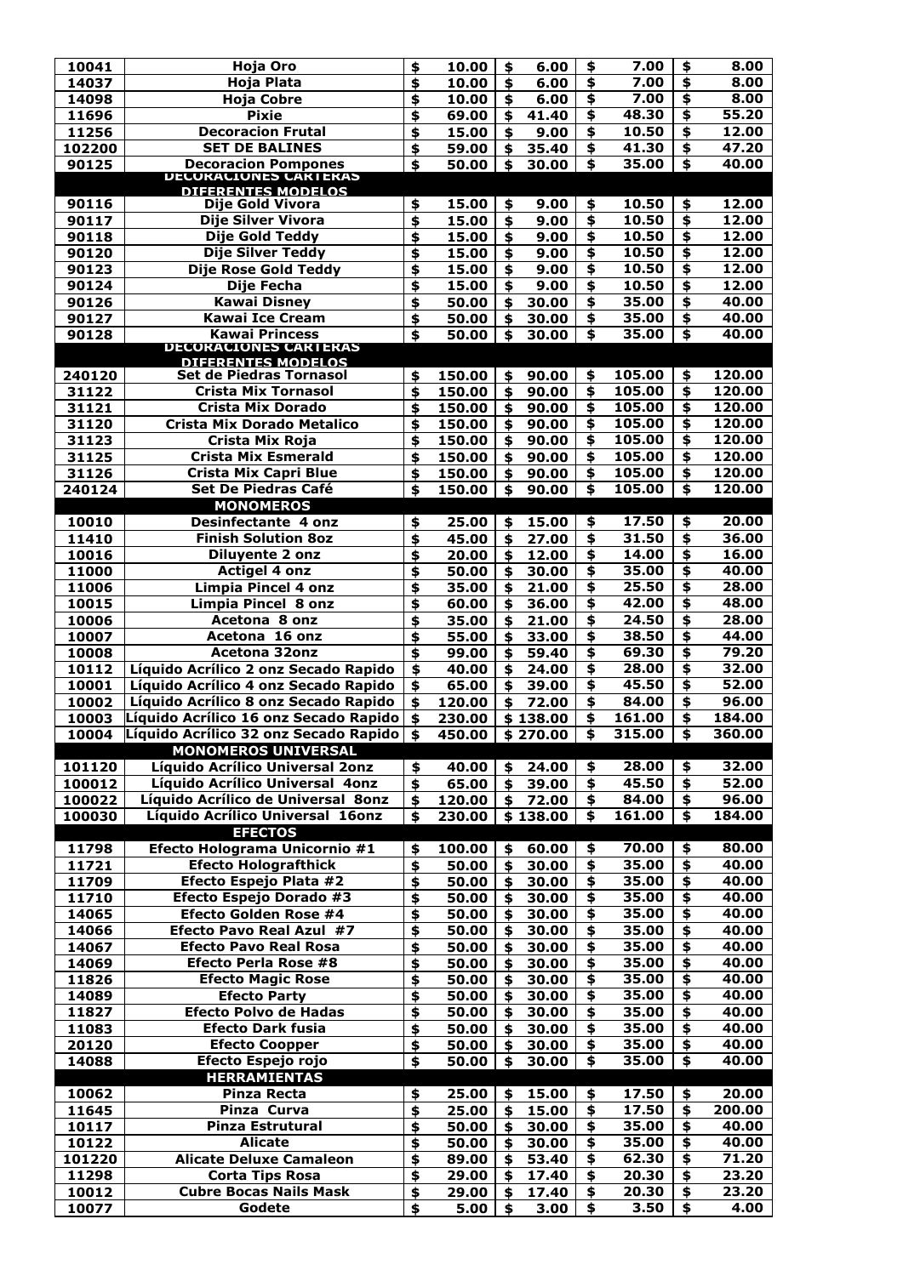| 10041  | <b>Hoja Oro</b>                                      | \$                        | 10.00  | \$                        | 6.00     | \$                      | 7.00   | \$                   | 8.00   |
|--------|------------------------------------------------------|---------------------------|--------|---------------------------|----------|-------------------------|--------|----------------------|--------|
| 14037  | Hoja Plata                                           | \$                        | 10.00  | \$                        | 6.00     | $\overline{\bullet}$    | 7.00   | \$                   | 8.00   |
| 14098  | <b>Hoja Cobre</b>                                    | \$                        | 10.00  | \$                        | 6.00     | \$                      | 7.00   | \$                   | 8.00   |
| 11696  | <b>Pixie</b>                                         | \$                        | 69.00  | \$                        | 41.40    | $\overline{\bullet}$    | 48.30  | \$                   | 55.20  |
|        |                                                      |                           |        |                           |          |                         |        |                      |        |
| 11256  | <b>Decoracion Frutal</b>                             | \$                        | 15.00  | \$                        | 9.00     | \$                      | 10.50  | \$                   | 12.00  |
| 102200 | <b>SET DE BALINES</b>                                | \$                        | 59.00  | \$                        | 35.40    | \$                      | 41.30  | \$                   | 47.20  |
| 90125  | <b>Decoracion Pompones</b><br>DECORACIONES CARTERAS  | \$                        | 50.00  | \$                        | 30.00    | \$                      | 35.00  | \$                   | 40.00  |
|        |                                                      |                           |        |                           |          |                         |        |                      |        |
|        | DIFFRENTES MODEL OS                                  |                           |        |                           |          |                         |        |                      |        |
| 90116  | <b>Dije Gold Vivora</b>                              | \$                        | 15.00  | \$                        | 9.00     | \$                      | 10.50  | \$                   | 12.00  |
| 90117  | Dije Silver Vivora                                   | \$                        | 15.00  | \$                        | 9.00     | \$                      | 10.50  | \$                   | 12.00  |
| 90118  | <b>Dije Gold Teddy</b>                               | \$                        | 15.00  | \$                        | 9.00     | \$                      | 10.50  | \$                   | 12.00  |
| 90120  | <b>Dije Silver Teddy</b>                             | \$                        | 15.00  | \$                        | 9.00     | \$                      | 10.50  | \$                   | 12.00  |
| 90123  | Dije Rose Gold Teddy                                 | \$                        | 15.00  | \$                        | 9.00     | $\overline{\bullet}$    | 10.50  | \$                   | 12.00  |
| 90124  | Dije Fecha                                           | \$                        | 15.00  | \$                        | 9.00     | \$                      | 10.50  | \$                   | 12.00  |
| 90126  | <b>Kawai Disney</b>                                  | \$                        | 50.00  | \$                        | 30.00    | \$                      | 35.00  | \$                   | 40.00  |
|        |                                                      |                           |        |                           |          |                         |        |                      |        |
| 90127  | <b>Kawai Ice Cream</b>                               | \$                        | 50.00  | \$                        | 30.00    | \$                      | 35.00  | \$                   | 40.00  |
| 90128  | <b>Kawai Princess</b>                                | \$                        | 50.00  | \$                        | 30.00    | \$                      | 35.00  | \$                   | 40.00  |
|        | <b>DECORACIONES CARTERAS</b>                         |                           |        |                           |          |                         |        |                      |        |
| 240120 | DIFERENTES MODELOS<br><b>Set de Piedras Tornasol</b> |                           | 150.00 | $\boldsymbol{\mathsf{S}}$ | 90.00    | \$                      | 105.00 | \$                   | 120.00 |
|        |                                                      | \$                        |        |                           |          |                         |        |                      |        |
| 31122  | <b>Crista Mix Tornasol</b>                           | \$                        | 150.00 | \$                        | 90.00    | \$                      | 105.00 | \$                   | 120.00 |
| 31121  | <b>Crista Mix Dorado</b>                             | \$                        | 150.00 | \$                        | 90.00    | \$                      | 105.00 | \$                   | 120.00 |
| 31120  | <b>Crista Mix Dorado Metalico</b>                    | \$                        | 150.00 | \$                        | 90.00    | \$                      | 105.00 | \$                   | 120.00 |
| 31123  | Crista Mix Roja                                      | \$                        | 150.00 | \$                        | 90.00    | \$                      | 105.00 | \$                   | 120.00 |
| 31125  | <b>Crista Mix Esmerald</b>                           | \$                        | 150.00 | \$                        | 90.00    | \$                      | 105.00 | \$                   | 120.00 |
| 31126  | <b>Crista Mix Capri Blue</b>                         | \$                        | 150.00 | \$                        | 90.00    | \$                      | 105.00 | \$                   | 120.00 |
| 240124 | <b>Set De Piedras Café</b>                           |                           |        | \$                        |          | \$                      | 105.00 | \$                   | 120.00 |
|        |                                                      | $\boldsymbol{\hat{z}}$    | 150.00 |                           | 90.00    |                         |        |                      |        |
|        | <b>MONOMEROS</b>                                     |                           |        |                           |          |                         |        |                      |        |
| 10010  | <b>Desinfectante 4 onz</b>                           | \$                        | 25.00  | \$                        | 15.00    | \$                      | 17.50  | \$                   | 20.00  |
| 11410  | <b>Finish Solution 8oz</b>                           | \$                        | 45.00  | \$                        | 27.00    | \$                      | 31.50  | \$                   | 36.00  |
| 10016  | <b>Diluyente 2 onz</b>                               | \$                        | 20.00  |                           | 12.00    | \$                      | 14.00  | \$                   | 16.00  |
| 11000  | <b>Actigel 4 onz</b>                                 | \$                        | 50.00  | \$                        | 30.00    | $\overline{\bullet}$    | 35.00  | \$                   | 40.00  |
| 11006  | <b>Limpia Pincel 4 onz</b>                           | \$                        | 35.00  |                           | 21.00    | \$                      | 25.50  | \$                   | 28.00  |
| 10015  | Limpia Pincel 8 onz                                  | \$                        | 60.00  | \$                        | 36.00    | \$                      | 42.00  | \$                   | 48.00  |
|        |                                                      |                           |        |                           |          |                         |        |                      |        |
| 10006  | Acetona 8 onz                                        | \$                        | 35.00  |                           | 21.00    | \$                      | 24.50  | \$                   | 28.00  |
| 10007  | Acetona 16 onz                                       | \$                        | 55.00  |                           | 33.00    | \$                      | 38.50  | \$                   | 44.00  |
| 10008  | <b>Acetona 32onz</b>                                 | \$                        | 99.00  |                           | 59.40    | \$                      | 69.30  | \$                   | 79.20  |
| 10112  | Líquido Acrílico 2 onz Secado Rapido                 | \$                        | 40.00  | \$                        | 24.00    | \$                      | 28.00  | \$                   | 32.00  |
| 10001  | Líquido Acrílico 4 onz Secado Rapido                 | $\boldsymbol{\mathsf{S}}$ | 65.00  | \$                        | 39.00    | $\overline{\bullet}$    | 45.50  | \$                   | 52.00  |
| 10002  | Líquido Acrílico 8 onz Secado Rapido                 | \$                        | 120.00 | \$                        | 72.00    | \$                      | 84.00  | \$                   | 96.00  |
| 10003  | Líquido Acrílico 16 onz Secado Rapido                | $\frac{1}{2}$             | 230.00 | \$                        | 138.00   | \$                      | 161.00 | \$                   | 184.00 |
| 10004  | Líquido Acrílico 32 onz Secado Rapido                | \$                        | 450.00 | \$                        | 270.00   | \$                      | 315.00 | \$                   | 360.00 |
|        | <b>MONOMEROS UNIVERSAL</b>                           |                           |        |                           |          |                         |        |                      |        |
|        |                                                      |                           |        |                           |          |                         |        |                      |        |
| 101120 | Líquido Acrílico Universal 2onz                      | \$                        | 40.00  | \$                        | 24.00    | \$                      | 28.00  | \$                   | 32.00  |
| 100012 | Líquido Acrílico Universal 4onz                      | \$                        | 65.00  | $\boldsymbol{\mathsf{s}}$ | 39.00    | \$                      | 45.50  | $\overline{\bullet}$ | 52.00  |
| 100022 | Líquido Acrílico de Universal 80nz                   | \$                        | 120.00 | \$                        | 72.00    | \$                      | 84.00  | \$                   | 96.00  |
| 100030 | Líquido Acrílico Universal 16onz                     | \$                        | 230.00 |                           | \$138.00 | \$                      | 161.00 | \$                   | 184.00 |
|        | <b>EFECTOS</b>                                       |                           |        |                           |          |                         |        |                      |        |
| 11798  | Efecto Holograma Unicornio #1                        | \$                        | 100.00 |                           | 60.00    | \$                      | 70.00  | \$                   | 80.00  |
| 11721  | <b>Efecto Holografthick</b>                          | \$                        | 50.00  | \$                        | 30.00    | \$                      | 35.00  | \$                   | 40.00  |
| 11709  | Efecto Espejo Plata #2                               | \$                        | 50.00  | \$                        | 30.00    | \$                      | 35.00  | \$                   | 40.00  |
|        |                                                      |                           |        |                           |          | \$                      |        |                      | 40.00  |
| 11710  | Efecto Espejo Dorado #3                              | \$                        | 50.00  | \$                        | 30.00    |                         | 35.00  | \$                   |        |
| 14065  | <b>Efecto Golden Rose #4</b>                         | \$                        | 50.00  |                           | 30.00    | \$                      | 35.00  | \$                   | 40.00  |
| 14066  | <b>Efecto Pavo Real Azul #7</b>                      | \$                        | 50.00  | \$                        | 30.00    | \$                      | 35.00  | $\overline{\bullet}$ | 40.00  |
| 14067  | <b>Efecto Pavo Real Rosa</b>                         | \$                        | 50.00  |                           | 30.00    | \$                      | 35.00  | \$                   | 40.00  |
| 14069  | Efecto Perla Rose #8                                 | \$                        | 50.00  | \$                        | 30.00    | \$                      | 35.00  | \$                   | 40.00  |
| 11826  | <b>Efecto Magic Rose</b>                             | \$                        | 50.00  |                           | 30.00    | $\overline{\mathbf{5}}$ | 35.00  | \$                   | 40.00  |
| 14089  | <b>Efecto Party</b>                                  | \$                        | 50.00  | \$                        | 30.00    | $\overline{\mathbf{S}}$ | 35.00  | \$                   | 40.00  |
| 11827  | <b>Efecto Polvo de Hadas</b>                         | \$                        | 50.00  | \$                        | 30.00    | \$                      | 35.00  | \$                   | 40.00  |
|        |                                                      |                           |        |                           |          | \$                      | 35.00  |                      | 40.00  |
| 11083  | <b>Efecto Dark fusia</b>                             | \$                        | 50.00  | \$                        | 30.00    |                         |        | \$                   |        |
| 20120  | <b>Efecto Coopper</b>                                | \$                        | 50.00  |                           | 30.00    | \$                      | 35.00  | \$                   | 40.00  |
| 14088  | Efecto Espejo rojo                                   | $\blacklozenge$           | 50.00  | \$                        | 30.00    | \$                      | 35.00  | \$                   | 40.00  |
|        | <b>HERRAMIENTAS</b>                                  |                           |        |                           |          |                         |        |                      |        |
| 10062  | <b>Pinza Recta</b>                                   | \$                        | 25.00  | \$                        | 15.00    | \$                      | 17.50  | \$                   | 20.00  |
| 11645  | Pinza Curva                                          | \$                        | 25.00  | \$                        | 15.00    | \$                      | 17.50  | \$                   | 200.00 |
| 10117  | <b>Pinza Estrutural</b>                              | \$                        | 50.00  |                           | 30.00    | \$                      | 35.00  | \$                   | 40.00  |
| 10122  | <b>Alicate</b>                                       | \$                        | 50.00  | \$                        | 30.00    | \$                      | 35.00  | \$                   | 40.00  |
|        | <b>Alicate Deluxe Camaleon</b>                       |                           |        |                           | 53.40    | \$                      | 62.30  | \$                   | 71.20  |
| 101220 |                                                      | \$                        | 89.00  |                           |          |                         |        |                      |        |
| 11298  | <b>Corta Tips Rosa</b>                               | \$                        | 29.00  |                           | 17.40    | \$                      | 20.30  | \$                   | 23.20  |
| 10012  | <b>Cubre Bocas Nails Mask</b>                        | \$                        | 29.00  |                           | 17.40    | \$                      | 20.30  | \$                   | 23.20  |
| 10077  | Godete                                               | \$                        | 5.00   | \$                        | 3.00     | \$                      | 3.50   | \$                   | 4.00   |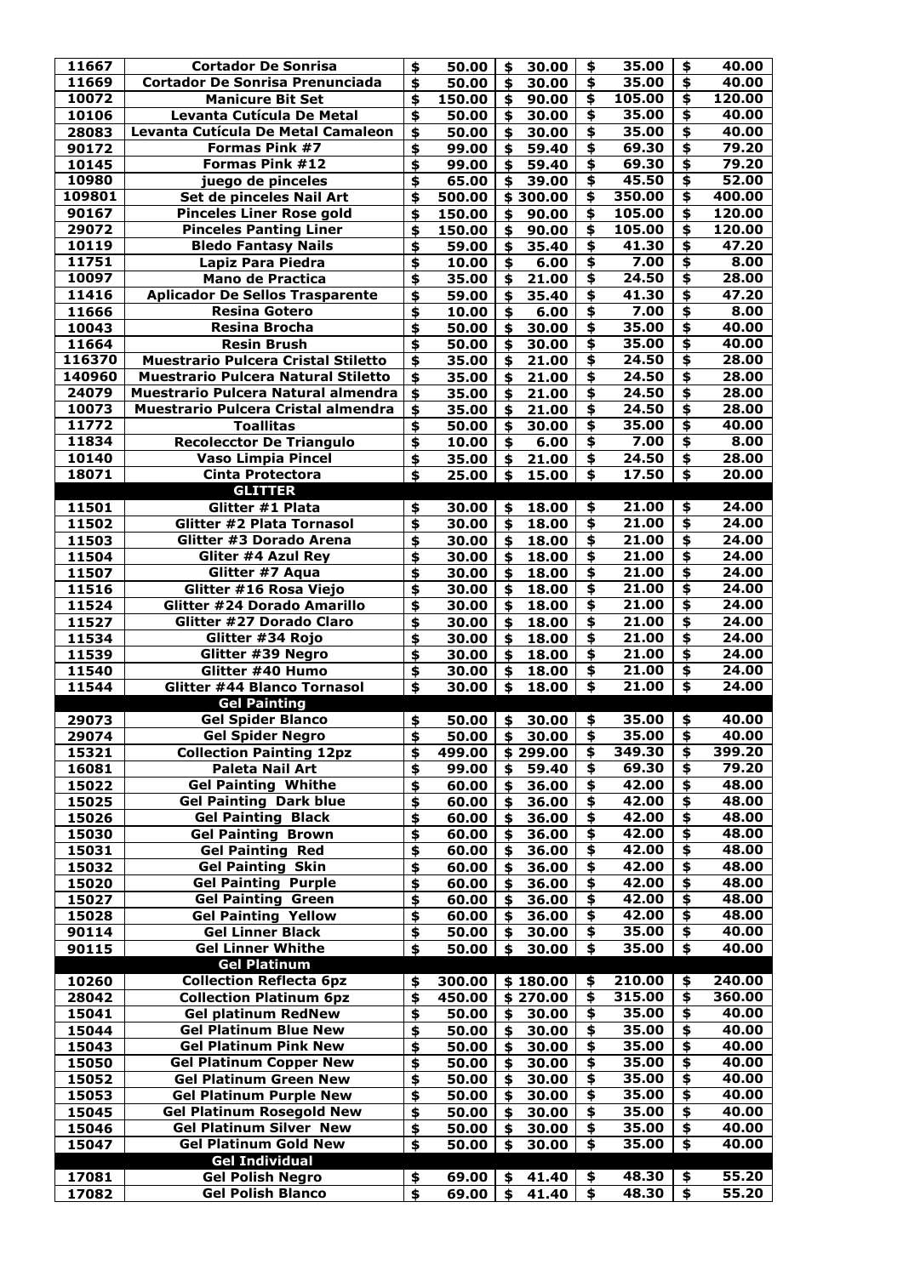| 11667            | <b>Cortador De Sonrisa</b>                                                        | \$                                        | 50.00          | \$       | 30.00          | \$                                                 | 35.00          | \$                                                      | 40.00          |
|------------------|-----------------------------------------------------------------------------------|-------------------------------------------|----------------|----------|----------------|----------------------------------------------------|----------------|---------------------------------------------------------|----------------|
| 11669            | <b>Cortador De Sonrisa Prenunciada</b>                                            | \$                                        | 50.00          | \$       | 30.00          | $\overline{\bullet}$                               | 35.00          | $\overline{\bullet}$                                    | 40.00          |
| 10072            | <b>Manicure Bit Set</b>                                                           | \$                                        | 150.00         |          | 90.00          | \$                                                 | 105.00         | \$                                                      | 120.00         |
| 10106            | <b>Levanta Cutícula De Metal</b>                                                  | \$                                        | 50.00          | \$       | 30.00          | \$                                                 | 35.00          | $\overline{\mathbf{5}}$                                 | 40.00          |
| 28083            | Levanta Cutícula De Metal Camaleon                                                | \$                                        | 50.00          |          | 30.00          | $\overline{\mathbf{P}}$                            | 35.00          | \$                                                      | 40.00          |
| 90172            | <b>Formas Pink #7</b>                                                             | \$                                        | 99.00          | \$       | 59.40          | $\blacklozenge$                                    | 69.30          | \$                                                      | 79.20          |
| 10145            | Formas Pink #12                                                                   | \$                                        | 99.00          | \$       | 59.40          | $\overline{\boldsymbol{\mathsf{F}}}$               | 69.30          | $\overline{\mathbf{5}}$                                 | 79.20          |
| 10980            | juego de pinceles                                                                 | \$                                        | 65.00          | \$       | 39.00          | $\overline{\mathbf{5}}$                            | 45.50          | $\overline{\mathbf{5}}$                                 | 52.00          |
| 109801           | Set de pinceles Nail Art                                                          | \$                                        | 500.00         | \$       | 300.00         | \$                                                 | 350.00         | \$                                                      | 400.00         |
| 90167            | <b>Pinceles Liner Rose gold</b>                                                   | \$                                        | 150.00         | \$       | 90.00          | \$                                                 | 105.00         | \$                                                      | 120.00         |
| 29072            | <b>Pinceles Panting Liner</b>                                                     | $\blacklozenge$                           | 150.00         | \$       | 90.00          | \$                                                 | 105.00         | \$                                                      | 120.00         |
| 10119            | <b>Bledo Fantasy Nails</b>                                                        | \$                                        | 59.00          | \$       | 35.40          | \$                                                 | 41.30          | \$                                                      | 47.20          |
| 11751            | Lapiz Para Piedra                                                                 | \$                                        | 10.00          | \$       | 6.00           | \$                                                 | 7.00           | \$                                                      | 8.00           |
| 10097            | <b>Mano de Practica</b>                                                           | \$                                        | 35.00          | \$       | 21.00          | $\overline{\boldsymbol{\$}}$                       | 24.50          | \$                                                      | 28.00          |
| 11416            | <b>Aplicador De Sellos Trasparente</b>                                            | \$                                        | 59.00          | \$       | 35.40          | $\overline{\mathbf{5}}$                            | 41.30          | $\overline{\mathbf{5}}$                                 | 47.20          |
| 11666            | <b>Resina Gotero</b>                                                              | \$                                        | 10.00          | \$       | 6.00           | $\overline{\bullet}$                               | 7.00           | \$                                                      | 8.00           |
| 10043            | <b>Resina Brocha</b>                                                              | \$                                        | 50.00          | \$       | 30.00          | $\overline{\mathbf{t}}$                            | 35.00          | $\overline{\mathbf{t}}$                                 | 40.00          |
| 11664            | <b>Resin Brush</b>                                                                | \$                                        | 50.00          | \$       | 30.00          | $\overline{\boldsymbol{\mathsf{F}}}$               | 35.00          | $\overline{\mathbf{t}}$                                 | 40.00          |
| 116370<br>140960 | <b>Muestrario Pulcera Cristal Stiletto</b>                                        | \$                                        | 35.00          | \$       | 21.00          | $\overline{\mathbf{t}}$<br>$\overline{\mathbf{5}}$ | 24.50          | $\overline{\boldsymbol{\$}}$<br>$\overline{\mathbf{5}}$ | 28.00          |
| 24079            | <b>Muestrario Pulcera Natural Stiletto</b><br>Muestrario Pulcera Natural almendra | $\blacklozenge$<br>$\boldsymbol{\hat{z}}$ | 35.00          | \$       | 21.00          | $\overline{\mathbf{5}}$                            | 24.50<br>24.50 | $\overline{\boldsymbol{\mathsf{S}}}$                    | 28.00<br>28.00 |
| 10073            | <b>Muestrario Pulcera Cristal almendra</b>                                        | \$                                        | 35.00<br>35.00 | \$<br>\$ | 21.00<br>21.00 | $\overline{\bullet}$                               | 24.50          | $\overline{\mathbf{F}}$                                 | 28.00          |
| 11772            | <b>Toallitas</b>                                                                  | \$                                        | 50.00          | \$       | 30.00          | $\overline{\mathbf{5}}$                            | 35.00          | $\overline{\mathbf{5}}$                                 | 40.00          |
| 11834            | <b>Recolecctor De Triangulo</b>                                                   | \$                                        | 10.00          | \$       | 6.00           | $\overline{\bullet}$                               | 7.00           | \$                                                      | 8.00           |
| 10140            | <b>Vaso Limpia Pincel</b>                                                         | \$                                        | 35.00          |          | 21.00          | \$                                                 | 24.50          | \$                                                      | 28.00          |
| 18071            | <b>Cinta Protectora</b>                                                           | $\blacklozenge$                           | 25.00          | \$       | 15.00          | $\overline{\boldsymbol{\mathsf{s}}}$               | 17.50          | $\overline{\boldsymbol{\mathsf{s}}}$                    | 20.00          |
|                  | <b>GLITTER</b>                                                                    |                                           |                |          |                |                                                    |                |                                                         |                |
| 11501            | Glitter #1 Plata                                                                  | \$                                        | 30.00          | \$       | 18.00          | \$                                                 | 21.00          | \$                                                      | 24.00          |
| 11502            | Glitter #2 Plata Tornasol                                                         | \$                                        | 30.00          | \$       | 18.00          | $\overline{\bullet}$                               | 21.00          | $\overline{\mathbf{S}}$                                 | 24.00          |
| 11503            | <b>Glitter #3 Dorado Arena</b>                                                    | \$                                        | 30.00          | \$       | 18.00          | \$                                                 | 21.00          | \$                                                      | 24.00          |
| 11504            | Gliter #4 Azul Rey                                                                | \$                                        | 30.00          | \$       | 18.00          | \$                                                 | 21.00          | \$                                                      | 24.00          |
| 11507            | Glitter #7 Aqua                                                                   | \$                                        | 30.00          | \$       | 18.00          | $\blacklozenge$                                    | 21.00          | $\overline{\mathbf{t}}$                                 | 24.00          |
| 11516            | Glitter #16 Rosa Viejo                                                            | \$                                        | 30.00          | \$       | 18.00          | \$                                                 | 21.00          | \$                                                      | 24.00          |
| 11524            | <b>Glitter #24 Dorado Amarillo</b>                                                | \$                                        | 30.00          | \$       | 18.00          | \$                                                 | 21.00          | \$                                                      | 24.00          |
| 11527            | Glitter #27 Dorado Claro                                                          | \$                                        | 30.00          | \$       | 18.00          | $\overline{\mathbf{F}}$                            | 21.00          | \$                                                      | 24.00          |
| 11534            | Glitter #34 Rojo                                                                  | \$                                        | 30.00          | \$       | 18.00          | \$                                                 | 21.00          | \$                                                      | 24.00          |
| 11539            | Glitter #39 Negro                                                                 | \$                                        | 30.00          | \$       | 18.00          | \$                                                 | 21.00          | \$                                                      | 24.00          |
| 11540            | Glitter #40 Humo                                                                  | \$                                        | 30.00          |          | 18.00          | $\overline{\bullet}$                               | 21.00          | \$                                                      | 24.00          |
| 11544            | <b>Glitter #44 Blanco Tornasol</b>                                                | \$                                        | 30.00          | \$       | 18.00          | \$                                                 | 21.00          | \$                                                      | 24.00          |
|                  | <b>Gel Painting</b>                                                               |                                           |                |          |                |                                                    |                |                                                         |                |
|                  |                                                                                   |                                           |                |          |                |                                                    |                |                                                         |                |
| 29073            | <b>Gel Spider Blanco</b>                                                          | \$                                        | 50.00          | \$       | 30.00          | \$                                                 | 35.00          | \$                                                      | 40.00          |
| 29074            | <b>Gel Spider Negro</b>                                                           | \$                                        | 50.00          | \$       | 30.00          | \$                                                 | 35.00          | \$                                                      | 40.00          |
| 15321            | <b>Collection Painting 12pz</b>                                                   | \$                                        | 499.00         |          | 299.00         | \$                                                 | 349.30         | \$                                                      | 399.20         |
| 16081            | <b>Paleta Nail Art</b>                                                            | \$                                        | 99.00          | \$       | 59.40          | \$                                                 | 69.30          | \$                                                      | 79.20          |
| 15022            | <b>Gel Painting Whithe</b>                                                        | \$                                        | 60.00          | \$       | 36.00          | $\overline{\mathbf{F}}$                            | 42.00          | $\overline{\mathbf{5}}$                                 | 48.00          |
| 15025            | <b>Gel Painting Dark blue</b>                                                     | \$                                        | 60.00          | \$       | 36.00          | \$                                                 | 42.00          | \$                                                      | 48.00          |
| 15026            | <b>Gel Painting</b><br><b>Black</b>                                               | \$                                        | 60.00          | \$       | 36.00          | \$                                                 | 42.00          | \$                                                      | 48.00          |
| 15030            | <b>Gel Painting Brown</b>                                                         | \$                                        | 60.00          | \$       | 36.00          | \$                                                 | 42.00          | \$                                                      | 48.00          |
| 15031            | <b>Gel Painting Red</b>                                                           | \$                                        | 60.00          |          | 36.00          | \$                                                 | 42.00          | \$                                                      | 48.00          |
| 15032            | <b>Gel Painting Skin</b>                                                          | \$                                        | 60.00          | \$       | 36.00          | \$                                                 | 42.00          | \$                                                      | 48.00          |
| 15020            | <b>Gel Painting Purple</b>                                                        | \$                                        | 60.00          |          | 36.00          | \$                                                 | 42.00          | \$                                                      | 48.00          |
| 15027            | <b>Gel Painting Green</b>                                                         | \$                                        | 60.00          | \$       | 36.00          | $\overline{\mathbf{F}}$                            | 42.00          | \$                                                      | 48.00          |
| 15028            | <b>Gel Painting Yellow</b>                                                        | \$                                        | 60.00          |          | 36.00          | \$                                                 | 42.00          | \$                                                      | 48.00          |
| 90114            | <b>Gel Linner Black</b>                                                           | \$                                        | 50.00          | \$       | 30.00          | $\overline{\mathbf{F}}$                            | 35.00          | $\overline{\mathbf{5}}$                                 | 40.00          |
| 90115            | <b>Gel Linner Whithe</b>                                                          | $\boldsymbol{\mathsf{S}}$                 | 50.00          | \$       | 30.00          | \$                                                 | 35.00          | \$                                                      | 40.00          |
| 10260            | <b>Gel Platinum</b><br><b>Collection Reflecta 6pz</b>                             | \$                                        | 300.00         |          | \$180.00       | \$                                                 | 210.00         | \$                                                      | 240.00         |
| 28042            | <b>Collection Platinum 6pz</b>                                                    | \$                                        | 450.00         | \$       | 270.00         | \$                                                 | 315.00         | \$                                                      | 360.00         |
| 15041            | <b>Gel platinum RedNew</b>                                                        | $\clubsuit$                               | 50.00          | \$       | 30.00          | \$                                                 | 35.00          | \$                                                      | 40.00          |
| 15044            | <b>Gel Platinum Blue New</b>                                                      | \$                                        | 50.00          | \$       | 30.00          | \$                                                 | 35.00          | \$                                                      | 40.00          |
| 15043            | <b>Gel Platinum Pink New</b>                                                      | \$                                        | 50.00          | \$       | 30.00          | \$                                                 | 35.00          | \$                                                      | 40.00          |
| 15050            | <b>Gel Platinum Copper New</b>                                                    | \$                                        | 50.00          |          | 30.00          | \$                                                 | 35.00          | \$                                                      | 40.00          |
| 15052            | <b>Gel Platinum Green New</b>                                                     | \$                                        | 50.00          |          | 30.00          | $\overline{\bullet}$                               | 35.00          | \$                                                      | 40.00          |
| 15053            | <b>Gel Platinum Purple New</b>                                                    | \$                                        | 50.00          |          | 30.00          | \$                                                 | 35.00          | \$                                                      | 40.00          |
| 15045            | <b>Gel Platinum Rosegold New</b>                                                  | \$                                        | 50.00          | \$       | 30.00          | \$                                                 | 35.00          | \$                                                      | 40.00          |
| 15046            | <b>Gel Platinum Silver New</b>                                                    | \$                                        | 50.00          |          | 30.00          | \$                                                 | 35.00          | \$                                                      | 40.00          |
| 15047            | <b>Gel Platinum Gold New</b>                                                      | $\blacklozenge$                           | 50.00          | \$       | 30.00          | \$                                                 | 35.00          | \$                                                      | 40.00          |
|                  | <b>Gel Individual</b>                                                             |                                           |                |          |                |                                                    |                |                                                         |                |
| 17081<br>17082   | <b>Gel Polish Negro</b><br><b>Gel Polish Blanco</b>                               | \$<br>\$                                  | 69.00<br>69.00 | \$<br>\$ | 41.40<br>41.40 | \$<br>\$                                           | 48.30<br>48.30 | \$<br>\$                                                | 55.20<br>55.20 |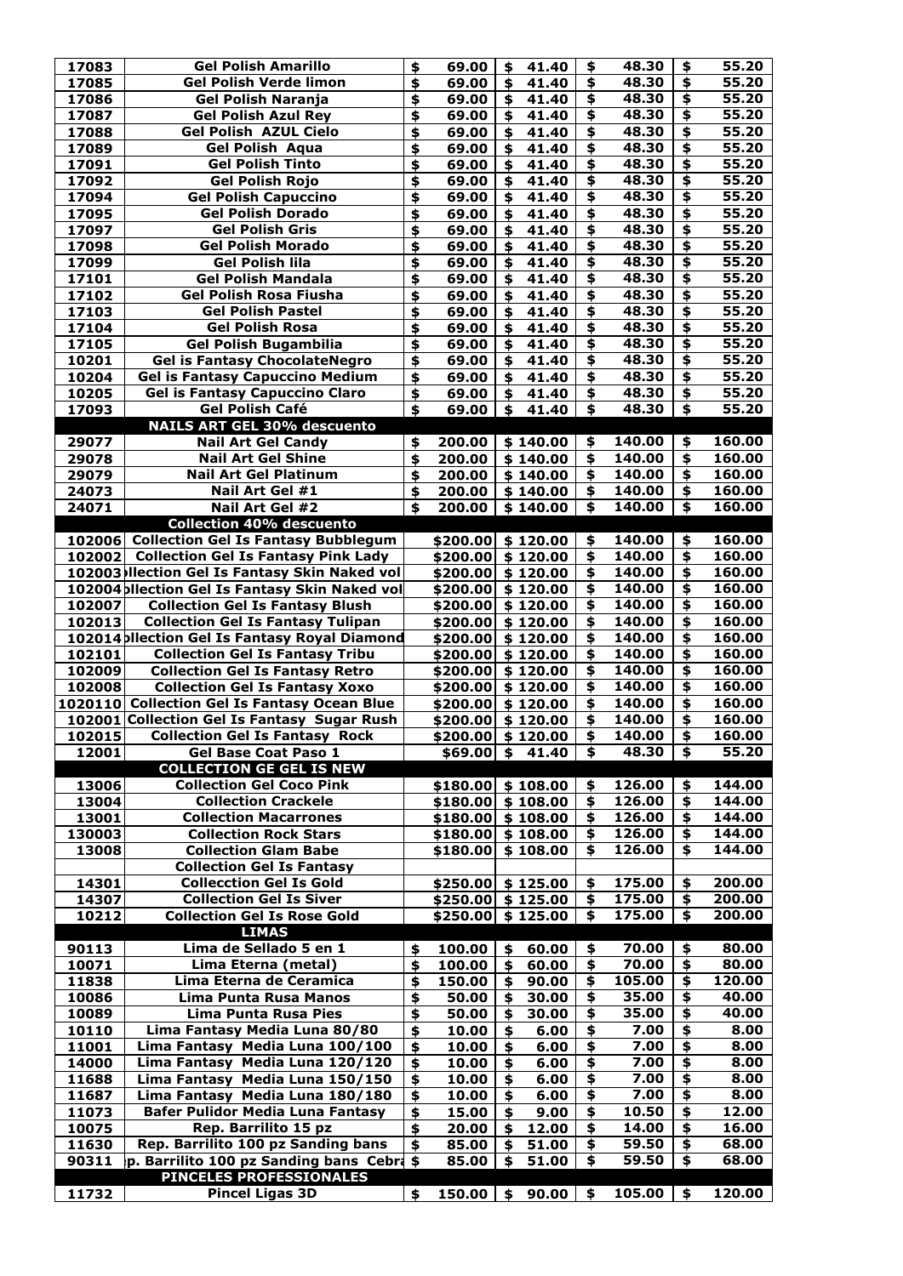| 17083  | <b>Gel Polish Amarillo</b>                               | $\blacklozenge$           | 69.00                  | \$                        | 41.40       | \$                                   | 48.30            | \$                                   | 55.20  |
|--------|----------------------------------------------------------|---------------------------|------------------------|---------------------------|-------------|--------------------------------------|------------------|--------------------------------------|--------|
| 17085  | <b>Gel Polish Verde limon</b>                            | \$                        | 69.00                  | \$                        | 41.40       | \$                                   | 48.30            | $\overline{\mathbf{P}}$              | 55.20  |
| 17086  | <b>Gel Polish Naranja</b>                                | \$                        | 69.00                  | \$                        | 41.40       | \$                                   | 48.30            | \$                                   | 55.20  |
| 17087  | <b>Gel Polish Azul Rey</b>                               | \$                        | 69.00                  | \$                        | 41.40       | $\overline{\boldsymbol{\mathsf{F}}}$ | 48.30            | $\overline{\boldsymbol{\mathsf{S}}}$ | 55.20  |
| 17088  | <b>Gel Polish AZUL Cielo</b>                             | \$                        | 69.00                  | \$                        | 41.40       | $\overline{\bullet}$                 | 48.30            | $\overline{\mathbf{5}}$              | 55.20  |
| 17089  | <b>Gel Polish Aqua</b>                                   | \$                        | 69.00                  | \$                        | 41.40       | $\overline{\mathbf{A}}$              | 48.30            | $\overline{\mathbf{t}}$              | 55.20  |
| 17091  | <b>Gel Polish Tinto</b>                                  | \$                        | 69.00                  | \$                        | 41.40       | $\overline{\bullet}$                 | 48.30            | $\overline{\mathbf{5}}$              | 55.20  |
| 17092  | <b>Gel Polish Rojo</b>                                   | \$                        | 69.00                  | \$                        | 41.40       | \$                                   | 48.30            | \$                                   | 55.20  |
| 17094  | <b>Gel Polish Capuccino</b>                              | \$                        | 69.00                  | \$                        | 41.40       | $\overline{\bullet}$                 | 48.30            | \$                                   | 55.20  |
| 17095  | <b>Gel Polish Dorado</b>                                 | \$                        | 69.00                  | \$                        | 41.40       | $\overline{\boldsymbol{\mathsf{S}}}$ | 48.30            | \$                                   | 55.20  |
| 17097  | <b>Gel Polish Gris</b>                                   | \$                        | 69.00                  | \$                        | 41.40       | $\overline{\mathbf{5}}$              | 48.30            | $\overline{\mathbf{t}}$              | 55.20  |
| 17098  | <b>Gel Polish Morado</b>                                 | \$                        | 69.00                  | \$                        | 41.40       | $\overline{\mathbf{5}}$              | 48.30            | \$                                   | 55.20  |
| 17099  | <b>Gel Polish lila</b>                                   | \$                        | 69.00                  | \$                        | 41.40       | $\overline{\mathbf{P}}$              | 48.30            | $\overline{\mathbf{t}}$              | 55.20  |
| 17101  | <b>Gel Polish Mandala</b>                                | \$                        | 69.00                  | \$                        | 41.40       | $\overline{\mathbf{F}}$              | 48.30            | $\overline{\mathbf{t}}$              | 55.20  |
| 17102  | <b>Gel Polish Rosa Fiusha</b>                            | \$                        | 69.00                  | \$                        | 41.40       | $\overline{\boldsymbol{\mathsf{F}}}$ | 48.30            | $\overline{\boldsymbol{\mathsf{S}}}$ | 55.20  |
| 17103  | <b>Gel Polish Pastel</b>                                 | \$                        | 69.00                  | \$                        | 41.40       | \$                                   | 48.30            | $\overline{\ast}$                    | 55.20  |
| 17104  | <b>Gel Polish Rosa</b>                                   | \$                        | 69.00                  | \$                        | 41.40       | $\overline{\mathbf{5}}$              | 48.30            | $\overline{\boldsymbol{\$}}$         | 55.20  |
| 17105  | <b>Gel Polish Bugambilia</b>                             | \$                        | 69.00                  | \$                        | 41.40       | $\overline{\mathbf{5}}$              | 48.30            | \$                                   | 55.20  |
| 10201  | <b>Gel is Fantasy ChocolateNegro</b>                     | \$                        | 69.00                  | \$                        | 41.40       | $\overline{\mathbf{A}}$              | 48.30            | \$                                   | 55.20  |
| 10204  | <b>Gel is Fantasy Capuccino Medium</b>                   | \$                        | 69.00                  | \$                        | 41.40       | \$                                   | 48.30            | \$                                   | 55.20  |
| 10205  | <b>Gel is Fantasy Capuccino Claro</b>                    | \$                        | 69.00                  | \$                        | 41.40       | \$                                   | 48.30            | \$                                   | 55.20  |
| 17093  | <b>Gel Polish Café</b>                                   | $\blacklozenge$           | 69.00                  | \$                        | 41.40       | \$                                   | 48.30            | \$                                   | 55.20  |
|        | <b>NAILS ART GEL 30% descuento</b>                       |                           |                        |                           |             |                                      |                  |                                      |        |
| 29077  | <b>Nail Art Gel Candy</b>                                | \$                        | 200.00                 |                           | \$140.00    | \$                                   | 140.00           | \$                                   | 160.00 |
|        | <b>Nail Art Gel Shine</b>                                |                           |                        |                           |             | \$                                   | 140.00           | \$                                   | 160.00 |
| 29078  | <b>Nail Art Gel Platinum</b>                             | \$                        | 200.00                 |                           | \$140.00    | \$                                   | 140.00           | \$                                   | 160.00 |
| 29079  |                                                          | \$                        | 200.00                 |                           | \$140.00    |                                      |                  |                                      |        |
| 24073  | Nail Art Gel #1                                          | \$                        | 200.00                 |                           | \$140.00    | \$                                   | 140.00           | \$                                   | 160.00 |
| 24071  | Nail Art Gel #2                                          | \$                        | 200.00                 |                           | \$140.00    | \$                                   | 140.00           | \$                                   | 160.00 |
|        | <b>Collection 40% descuento</b>                          |                           |                        |                           |             |                                      |                  |                                      |        |
|        | 102006 Collection Gel Is Fantasy Bubblegum               |                           | \$200.00               |                           | \$120.00    | \$                                   | 140.00           | \$                                   | 160.00 |
|        | 102002 Collection Gel Is Fantasy Pink Lady               |                           | \$200.00               |                           | \$120.00    | \$                                   | 140.00<br>140.00 | \$                                   | 160.00 |
|        | 102003 Ilection Gel Is Fantasy Skin Naked vol            |                           | \$200.00               |                           | \$120.00    | \$                                   |                  | \$                                   | 160.00 |
|        | 102004 bliection Gel Is Fantasy Skin Naked vol           |                           | $$200.00 \mid $120.00$ |                           |             | \$                                   | 140.00           | \$                                   | 160.00 |
| 102007 | <b>Collection Gel Is Fantasy Blush</b>                   |                           | \$200.00               |                           | \$120.00    | \$                                   | 140.00           | \$                                   | 160.00 |
| 102013 | <b>Collection Gel Is Fantasy Tulipan</b>                 |                           | $$200.00 \mid $120.00$ |                           |             | $\overline{\bullet}$                 | 140.00           | $\overline{\mathbf{S}}$              | 160.00 |
|        | 102014 pllection Gel Is Fantasy Royal Diamond            |                           | \$200.00               |                           | \$120.00    | \$                                   | 140.00           | \$                                   | 160.00 |
| 102101 | <b>Collection Gel Is Fantasy Tribu</b>                   |                           | $$200.00 \mid $120.00$ |                           |             | \$                                   | 140.00           | \$                                   | 160.00 |
| 102009 | <b>Collection Gel Is Fantasy Retro</b>                   |                           | \$200.00               |                           | \$120.00    | \$                                   | 140.00           | \$                                   | 160.00 |
| 102008 | <b>Collection Gel Is Fantasy Xoxo</b>                    |                           | \$200.00               |                           | \$120.00    | \$                                   | 140.00           | $\overline{\bullet}$                 | 160.00 |
|        | 1020110 Collection Gel Is Fantasy Ocean Blue             |                           | \$200.00               |                           | \$120.00    | \$                                   | 140.00           | \$                                   | 160.00 |
|        | 102001 Collection Gel Is Fantasy Sugar Rush              |                           | \$200.00               |                           | \$120.00    | \$                                   | 140.00           | \$                                   | 160.00 |
| 102015 | <b>Collection Gel Is Fantasy Rock</b>                    |                           | $$200.00 \mid $120.00$ |                           |             | \$                                   | 140.00           | $\overline{\bullet}$                 | 160.00 |
| 12001  | <b>Gel Base Coat Paso 1</b>                              |                           | \$69.00                | $\boldsymbol{\mathsf{s}}$ | 41.40       | \$                                   | 48.30            | \$                                   | 55.20  |
|        | <b>COLLECTION GE GEL IS NEW</b>                          |                           |                        |                           |             |                                      |                  |                                      |        |
| 13006  | <b>Collection Gel Coco Pink</b>                          |                           | \$180.00               |                           | \$108.00    | \$                                   | 126.00           | \$                                   | 144.00 |
| 13004  | <b>Collection Crackele</b>                               |                           | \$180.00               |                           |             |                                      |                  |                                      |        |
| 13001  | <b>Collection Macarrones</b>                             |                           |                        |                           | \$108.00    | \$                                   | 126.00           | \$                                   | 144.00 |
|        |                                                          |                           | \$180.00               |                           | \$108.00    | \$                                   | 126.00           | \$                                   | 144.00 |
| 130003 | <b>Collection Rock Stars</b>                             |                           | $$180.00 \mid $108.00$ |                           |             | \$                                   | 126.00           | \$                                   | 144.00 |
| 13008  | <b>Collection Glam Babe</b>                              |                           | \$180.00               |                           | \$108.00    | \$                                   | 126.00           | \$                                   | 144.00 |
|        | <b>Collection Gel Is Fantasy</b>                         |                           |                        |                           |             |                                      |                  |                                      |        |
| 14301  | <b>Collecction Gel Is Gold</b>                           |                           | \$250.00               |                           | \$125.00    | \$                                   | 175.00           | \$                                   | 200.00 |
| 14307  | <b>Collection Gel Is Siver</b>                           |                           | $$250.00 \mid $125.00$ |                           |             | \$                                   | 175.00           | \$                                   | 200.00 |
| 10212  | <b>Collection Gel Is Rose Gold</b>                       |                           | $$250.00 \mid $125.00$ |                           |             | \$                                   | 175.00           | \$                                   | 200.00 |
|        | <b>LIMAS</b>                                             |                           |                        |                           |             |                                      |                  |                                      |        |
| 90113  | Lima de Sellado 5 en 1                                   | \$                        | 100.00                 | \$                        | 60.00       | \$                                   | 70.00            | \$                                   | 80.00  |
| 10071  | Lima Eterna (metal)                                      | \$                        | 100.00                 |                           | 60.00       | \$                                   | 70.00            | \$                                   | 80.00  |
| 11838  | Lima Eterna de Ceramica                                  | \$                        | 150.00                 | \$                        | 90.00       | \$                                   | 105.00           | \$                                   | 120.00 |
| 10086  | Lima Punta Rusa Manos                                    | \$                        | 50.00                  |                           | 30.00       | \$                                   | 35.00            | \$                                   | 40.00  |
| 10089  | <b>Lima Punta Rusa Pies</b>                              | \$                        | 50.00                  | \$                        | 30.00       | \$                                   | 35.00            | \$                                   | 40.00  |
| 10110  | Lima Fantasy Media Luna 80/80                            | $\blacklozenge$           | 10.00                  | \$                        | 6.00        | \$                                   | 7.00             | \$                                   | 8.00   |
| 11001  | Lima Fantasy Media Luna 100/100                          | $\blacklozenge$           | 10.00                  | \$                        | 6.00        | \$                                   | 7.00             | \$                                   | 8.00   |
| 14000  | Lima Fantasy Media Luna 120/120                          | \$                        | 10.00                  | \$                        | 6.00        | \$                                   | 7.00             | \$                                   | 8.00   |
| 11688  | Lima Fantasy Media Luna 150/150                          | \$                        | 10.00                  | \$                        | 6.00        | \$                                   | 7.00             | \$                                   | 8.00   |
| 11687  | Lima Fantasy Media Luna 180/180                          | \$                        | 10.00                  | \$                        | 6.00        | \$                                   | 7.00             | \$                                   | 8.00   |
| 11073  | <b>Bafer Pulidor Media Luna Fantasy</b>                  | \$                        | 15.00                  | \$                        | 9.00        | \$                                   | 10.50            | \$                                   | 12.00  |
| 10075  | Rep. Barrilito 15 pz                                     | $\boldsymbol{\mathsf{s}}$ | 20.00                  | \$                        | 12.00       | \$                                   | 14.00            | \$                                   | 16.00  |
| 11630  | Rep. Barrilito 100 pz Sanding bans                       | \$                        | 85.00                  |                           | 51.00       | \$                                   | 59.50            | \$                                   | 68.00  |
| 90311  | p. Barrilito 100 pz Sanding bans Cebra \$                |                           | 85.00                  | \$                        | 51.00       | \$                                   | 59.50            | \$                                   | 68.00  |
| 11732  | <b>PINCELES PROFESSIONALES</b><br><b>Pincel Ligas 3D</b> | \$                        | 150.00                 |                           | $$90.00$ \$ |                                      | 105.00           | \$                                   | 120.00 |